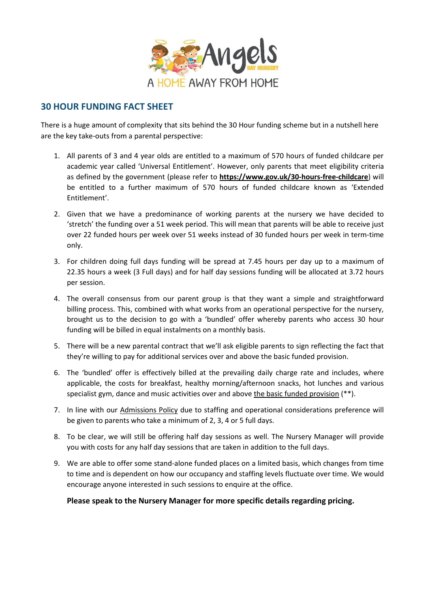

## **30 HOUR FUNDING FACT SHEET**

There is a huge amount of complexity that sits behind the 30 Hour funding scheme but in a nutshell here are the key take-outs from a parental perspective:

- 1. All parents of 3 and 4 year olds are entitled to a maximum of 570 hours of funded childcare per academic year called 'Universal Entitlement'. However, only parents that meet eligibility criteria as defined by the government (please refer to **<https://www.gov.uk/30-hours-free-childcare>**) will be entitled to a further maximum of 570 hours of funded childcare known as 'Extended Entitlement'.
- 2. Given that we have a predominance of working parents at the nursery we have decided to 'stretch' the funding over a 51 week period. This will mean that parents will be able to receive just over 22 funded hours per week over 51 weeks instead of 30 funded hours per week in term-time only.
- 3. For children doing full days funding will be spread at 7.45 hours per day up to a maximum of 22.35 hours a week (3 Full days) and for half day sessions funding will be allocated at 3.72 hours per session.
- 4. The overall consensus from our parent group is that they want a simple and straightforward billing process. This, combined with what works from an operational perspective for the nursery, brought us to the decision to go with a 'bundled' offer whereby parents who access 30 hour funding will be billed in equal instalments on a monthly basis.
- 5. There will be a new parental contract that we'll ask eligible parents to sign reflecting the fact that they're willing to pay for additional services over and above the basic funded provision.
- 6. The 'bundled' offer is effectively billed at the prevailing daily charge rate and includes, where applicable, the costs for breakfast, healthy morning/afternoon snacks, hot lunches and various specialist gym, dance and music activities over and above the basic funded provision (\*\*).
- 7. In line with our Admissions Policy due to staffing and operational considerations preference will be given to parents who take a minimum of 2, 3, 4 or 5 full days.
- 8. To be clear, we will still be offering half day sessions as well. The Nursery Manager will provide you with costs for any half day sessions that are taken in addition to the full days.
- 9. We are able to offer some stand-alone funded places on a limited basis, which changes from time to time and is dependent on how our occupancy and staffing levels fluctuate over time. We would encourage anyone interested in such sessions to enquire at the office.

**Please speak to the Nursery Manager for more specific details regarding pricing.**